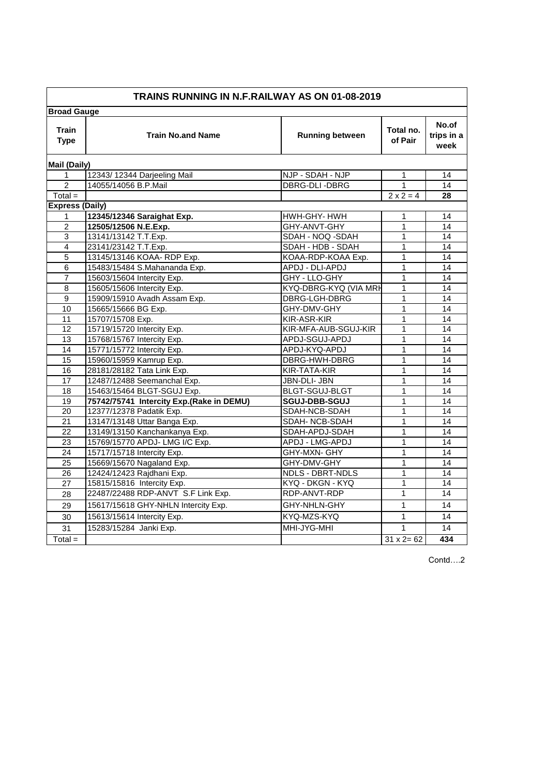| <b>TRAINS RUNNING IN N.F.RAILWAY AS ON 01-08-2019</b> |                                          |                        |                      |                             |
|-------------------------------------------------------|------------------------------------------|------------------------|----------------------|-----------------------------|
| <b>Broad Gauge</b>                                    |                                          |                        |                      |                             |
| <b>Train</b><br><b>Type</b>                           | <b>Train No.and Name</b>                 | <b>Running between</b> | Total no.<br>of Pair | No.of<br>trips in a<br>week |
| <b>Mail (Daily)</b>                                   |                                          |                        |                      |                             |
| 1                                                     | 12343/12344 Darjeeling Mail              | NJP - SDAH - NJP       | 1                    | 14                          |
| $\overline{2}$                                        | 14055/14056 B.P.Mail                     | DBRG-DLI-DBRG          | 1                    | 14                          |
| $Total =$                                             |                                          |                        | $2 \times 2 = 4$     | 28                          |
| <b>Express (Daily)</b>                                |                                          |                        |                      |                             |
| 1                                                     | 12345/12346 Saraighat Exp.               | HWH-GHY-HWH            | 1                    | 14                          |
| $\overline{2}$                                        | 12505/12506 N.E.Exp.                     | GHY-ANVT-GHY           | 1                    | 14                          |
| $\overline{3}$                                        | 13141/13142 T.T.Exp.                     | SDAH - NOQ -SDAH       | $\mathbf{1}$         | 14                          |
| $\overline{\mathbf{4}}$                               | 23141/23142 T.T.Exp.                     | SDAH - HDB - SDAH      | 1                    | 14                          |
| $\overline{5}$                                        | 13145/13146 KOAA- RDP Exp.               | KOAA-RDP-KOAA Exp.     | $\mathbf{1}$         | 14                          |
| 6                                                     | 15483/15484 S.Mahananda Exp.             | APDJ - DLI-APDJ        | 1                    | 14                          |
| $\overline{7}$                                        | 15603/15604 Intercity Exp.               | GHY - LLO-GHY          | $\mathbf{1}$         | 14                          |
| 8                                                     | 15605/15606 Intercity Exp.               | KYQ-DBRG-KYQ (VIA MRH  | 1                    | 14                          |
| 9                                                     | 15909/15910 Avadh Assam Exp.             | DBRG-LGH-DBRG          | 1                    | 14                          |
| 10                                                    | 15665/15666 BG Exp.                      | GHY-DMV-GHY            | 1                    | 14                          |
| 11                                                    | 15707/15708 Exp.                         | KIR-ASR-KIR            | 1                    | 14                          |
| 12                                                    | 15719/15720 Intercity Exp.               | KIR-MFA-AUB-SGUJ-KIR   | 1                    | 14                          |
| 13                                                    | 15768/15767 Intercity Exp.               | APDJ-SGUJ-APDJ         | 1                    | 14                          |
| 14                                                    | 15771/15772 Intercity Exp.               | APDJ-KYQ-APDJ          | 1                    | 14                          |
| 15                                                    | 15960/15959 Kamrup Exp.                  | DBRG-HWH-DBRG          | 1                    | 14                          |
| 16                                                    | 28181/28182 Tata Link Exp.               | KIR-TATA-KIR           | $\mathbf{1}$         | 14                          |
| 17                                                    | 12487/12488 Seemanchal Exp.              | JBN-DLI- JBN           | 1                    | 14                          |
| 18                                                    | 15463/15464 BLGT-SGUJ Exp.               | BLGT-SGUJ-BLGT         | $\mathbf{1}$         | 14                          |
| 19                                                    | 75742/75741 Intercity Exp.(Rake in DEMU) | <b>SGUJ-DBB-SGUJ</b>   | 1                    | 14                          |
| 20                                                    | 12377/12378 Padatik Exp.                 | SDAH-NCB-SDAH          | $\mathbf 1$          | $\overline{14}$             |
| 21                                                    | 13147/13148 Uttar Banga Exp.             | SDAH- NCB-SDAH         | 1                    | 14                          |
| 22                                                    | 13149/13150 Kanchankanya Exp.            | SDAH-APDJ-SDAH         | $\mathbf{1}$         | 14                          |
| 23                                                    | 15769/15770 APDJ- LMG I/C Exp.           | APDJ - LMG-APDJ        | $\mathbf{1}$         | 14                          |
| 24                                                    | 15717/15718 Intercity Exp.               | GHY-MXN- GHY           | 1                    | 14                          |
| 25                                                    | 15669/15670 Nagaland Exp.                | GHY-DMV-GHY            | 1                    | 14                          |
| 26                                                    | 12424/12423 Rajdhani Exp.                | NDLS - DBRT-NDLS       | 1                    | 14                          |
| 27                                                    | 15815/15816 Intercity Exp.               | KYQ - DKGN - KYQ       | $\mathbf{1}$         | 14                          |
| 28                                                    | 22487/22488 RDP-ANVT S.F Link Exp.       | RDP-ANVT-RDP           | $\mathbf{1}$         | 14                          |
| 29                                                    | 15617/15618 GHY-NHLN Intercity Exp.      | GHY-NHLN-GHY           | 1                    | 14                          |
| 30                                                    | 15613/15614 Intercity Exp.               | KYQ-MZS-KYQ            | 1                    | 14                          |
| 31                                                    | 15283/15284 Janki Exp.                   | MHI-JYG-MHI            | $\mathbf{1}$         | 14                          |
| $Total =$                                             |                                          |                        | $31 \times 2 = 62$   | 434                         |

Contd….2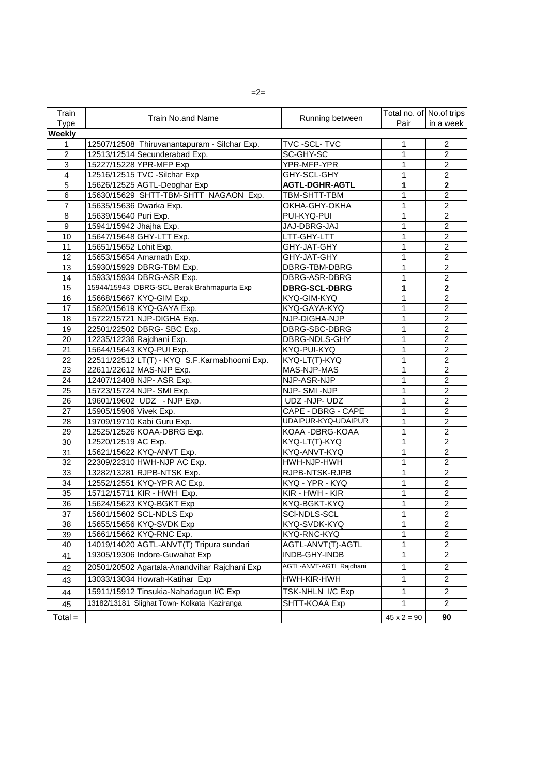| Train          |                                              |                         | Total no. of No.of trips |                |
|----------------|----------------------------------------------|-------------------------|--------------------------|----------------|
| <b>Type</b>    | <b>Train No.and Name</b>                     | Running between         | Pair                     | in a week      |
| <b>Weekly</b>  |                                              |                         |                          |                |
| 1              | 12507/12508 Thiruvanantapuram - Silchar Exp. | TVC-SCL-TVC             | 1                        | $\overline{2}$ |
| $\overline{2}$ | 12513/12514 Secunderabad Exp.                | SC-GHY-SC               | 1                        | $\overline{2}$ |
| 3              | 15227/15228 YPR-MFP Exp                      | YPR-MFP-YPR             | 1                        | $\overline{c}$ |
| 4              | 12516/12515 TVC -Silchar Exp                 | GHY-SCL-GHY             | 1                        | $\overline{2}$ |
| $\overline{5}$ | 15626/12525 AGTL-Deoghar Exp                 | <b>AGTL-DGHR-AGTL</b>   | 1                        | $\overline{2}$ |
| 6              | 15630/15629 SHTT-TBM-SHTT NAGAON Exp.        | TBM-SHTT-TBM            | 1                        | $\overline{2}$ |
| $\overline{7}$ | 15635/15636 Dwarka Exp.                      | OKHA-GHY-OKHA           | $\mathbf{1}$             | $\overline{2}$ |
| $\,8\,$        | 15639/15640 Puri Exp.                        | PUI-KYQ-PUI             | 1                        | $\overline{2}$ |
| $\overline{9}$ | 15941/15942 Jhajha Exp.                      | JAJ-DBRG-JAJ            | 1                        | $\overline{2}$ |
| 10             | 15647/15648 GHY-LTT Exp.                     | LTT-GHY-LTT             | 1                        | $\overline{2}$ |
| 11             | 15651/15652 Lohit Exp.                       | GHY-JAT-GHY             | 1                        | $\overline{2}$ |
| 12             | 15653/15654 Amarnath Exp.                    | GHY-JAT-GHY             | 1                        | $\overline{c}$ |
| 13             | 15930/15929 DBRG-TBM Exp.                    | DBRG-TBM-DBRG           | 1                        | $\overline{2}$ |
| 14             | 15933/15934 DBRG-ASR Exp.                    | DBRG-ASR-DBRG           | 1                        | $\overline{2}$ |
| 15             | 15944/15943 DBRG-SCL Berak Brahmapurta Exp   | <b>DBRG-SCL-DBRG</b>    | 1                        | $\overline{2}$ |
| 16             | 15668/15667 KYQ-GIM Exp.                     | KYQ-GIM-KYQ             | 1                        | $\overline{2}$ |
| 17             | 15620/15619 KYQ-GAYA Exp.                    | KYQ-GAYA-KYQ            | 1                        | $\overline{2}$ |
| 18             | 15722/15721 NJP-DIGHA Exp.                   | NJP-DIGHA-NJP           | 1                        | $\overline{2}$ |
| 19             | 22501/22502 DBRG- SBC Exp.                   | DBRG-SBC-DBRG           | 1                        | $\overline{2}$ |
| 20             | 12235/12236 Rajdhani Exp.                    | DBRG-NDLS-GHY           | 1                        | $\overline{2}$ |
| 21             | 15644/15643 KYQ-PUI Exp.                     | KYQ-PUI-KYQ             | 1                        | $\overline{2}$ |
| 22             | 22511/22512 LT(T) - KYQ S.F.Karmabhoomi Exp. | KYQ-LT(T)-KYQ           | 1                        | $\overline{2}$ |
| 23             | 22611/22612 MAS-NJP Exp.                     | MAS-NJP-MAS             | 1                        | $\overline{2}$ |
| 24             | 12407/12408 NJP- ASR Exp.                    | NJP-ASR-NJP             | 1                        | $\overline{2}$ |
| 25             | 15723/15724 NJP- SMI Exp.                    | NJP-SMI-NJP             | 1                        | $\overline{c}$ |
| 26             | 19601/19602 UDZ - NJP Exp.                   | UDZ -NJP- UDZ           | 1                        | $\overline{2}$ |
| 27             | 15905/15906 Vivek Exp.                       | CAPE - DBRG - CAPE      | 1                        | $\overline{2}$ |
| 28             | 19709/19710 Kabi Guru Exp.                   | UDAIPUR-KYQ-UDAIPUR     | 1                        | $\overline{2}$ |
| 29             | 12525/12526 KOAA-DBRG Exp.                   | KOAA - DBRG-KOAA        | $\mathbf{1}$             | $\overline{2}$ |
| 30             | 12520/12519 AC Exp.                          | KYQ-LT(T)-KYQ           | $\mathbf{1}$             | $\overline{2}$ |
| 31             | 15621/15622 KYQ-ANVT Exp.                    | KYQ-ANVT-KYQ            | 1                        | $\overline{2}$ |
| 32             | 22309/22310 HWH-NJP AC Exp.                  | HWH-NJP-HWH             | $\mathbf{1}$             | $\overline{2}$ |
| 33             | 13282/13281 RJPB-NTSK Exp.                   | RJPB-NTSK-RJPB          | 1                        | $\overline{2}$ |
| 34             | 12552/12551 KYQ-YPR AC Exp.                  | KYQ - YPR - KYQ         | 1                        | $\overline{c}$ |
| 35             | 15712/15711 KIR - HWH Exp.                   | KIR - HWH - KIR         | 1                        | $\overline{2}$ |
| 36             | 15624/15623 KYQ-BGKT Exp                     | KYQ-BGKT-KYQ            | 1                        | $\overline{2}$ |
| 37             | 15601/15602 SCL-NDLS Exp                     | SCI-NDLS-SCL            | 1                        | $\overline{2}$ |
| 38             | 15655/15656 KYQ-SVDK Exp                     | KYQ-SVDK-KYQ            | 1                        | $\overline{2}$ |
| 39             | 15661/15662 KYQ-RNC Exp.                     | KYQ-RNC-KYQ             | 1                        | $\overline{2}$ |
| 40             | 14019/14020 AGTL-ANVT(T) Tripura sundari     | AGTL-ANVT(T)-AGTL       | 1                        | $\overline{2}$ |
| 41             | 19305/19306 Indore-Guwahat Exp               | INDB-GHY-INDB           | 1                        | $\overline{2}$ |
| 42             | 20501/20502 Agartala-Anandvihar Rajdhani Exp | AGTL-ANVT-AGTL Rajdhani | $\mathbf{1}$             | $\overline{2}$ |
| 43             | 13033/13034 Howrah-Katihar Exp               | HWH-KIR-HWH             | 1                        | $\overline{2}$ |
| 44             | 15911/15912 Tinsukia-Naharlagun I/C Exp      | TSK-NHLN I/C Exp        | $\mathbf{1}$             | $\overline{2}$ |
| 45             | 13182/13181 Slighat Town- Kolkata Kaziranga  | SHTT-KOAA Exp           | 1                        | $\overline{2}$ |
| $Total =$      |                                              |                         | $45 \times 2 = 90$       | 90             |

 $=2=$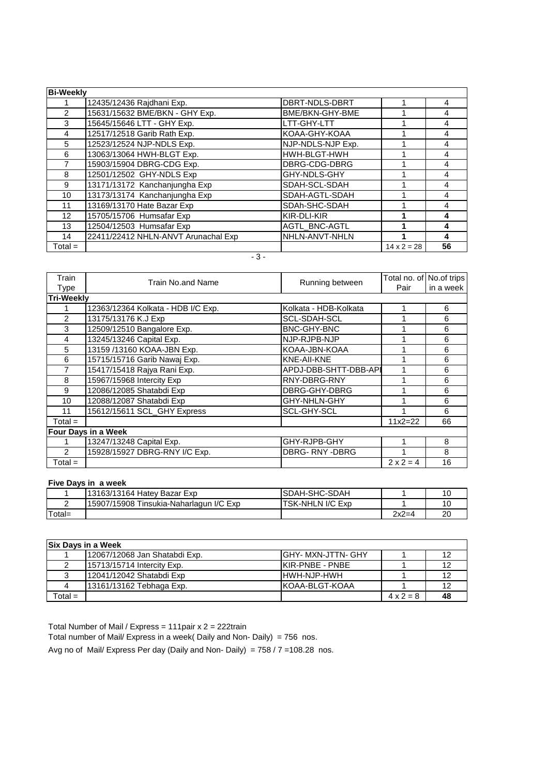| <b>Bi-Weekly</b> |                                     |                      |                    |    |
|------------------|-------------------------------------|----------------------|--------------------|----|
|                  | 12435/12436 Rajdhani Exp.           | DBRT-NDLS-DBRT       |                    | 4  |
| 2                | 15631/15632 BME/BKN - GHY Exp.      | BME/BKN-GHY-BME      |                    | 4  |
| 3                | 15645/15646 LTT - GHY Exp.          | LTT-GHY-LTT          |                    | 4  |
| 4                | 12517/12518 Garib Rath Exp.         | KOAA-GHY-KOAA        |                    |    |
| 5                | 12523/12524 NJP-NDLS Exp.           | NJP-NDLS-NJP Exp.    |                    | 4  |
| 6                | 13063/13064 HWH-BLGT Exp.           | HWH-BLGT-HWH         |                    | 4  |
|                  | 15903/15904 DBRG-CDG Exp.           | DBRG-CDG-DBRG        |                    | 4  |
| 8                | 12501/12502 GHY-NDLS Exp            | GHY-NDLS-GHY         |                    | 4  |
| 9                | 13171/13172 Kanchanjungha Exp       | SDAH-SCL-SDAH        |                    | 4  |
| 10 <sup>°</sup>  | 13173/13174 Kanchanjungha Exp       | SDAH-AGTL-SDAH       |                    | 4  |
| 11               | 13169/13170 Hate Bazar Exp          | SDAh-SHC-SDAH        |                    | 4  |
| 12 <sup>°</sup>  | 15705/15706 Humsafar Exp            | KIR-DLI-KIR          |                    |    |
| 13               | 12504/12503 Humsafar Exp            | <b>AGTL BNC-AGTL</b> |                    | 4  |
| 14               | 22411/22412 NHLN-ANVT Arunachal Exp | NHLN-ANVT-NHLN       |                    | 4  |
| Total $=$        |                                     |                      | $14 \times 2 = 28$ | 56 |

 $-3-$ 

| Train             | Train No.and Name                  |                       | Total no. of No.of trips |           |
|-------------------|------------------------------------|-----------------------|--------------------------|-----------|
| Type              |                                    | Running between       | Pair                     | in a week |
| <b>Tri-Weekly</b> |                                    |                       |                          |           |
|                   | 12363/12364 Kolkata - HDB I/C Exp. | Kolkata - HDB-Kolkata |                          | 6         |
| 2                 | 13175/13176 K.J Exp                | <b>SCL-SDAH-SCL</b>   |                          | 6         |
| 3                 | 12509/12510 Bangalore Exp.         | <b>BNC-GHY-BNC</b>    |                          | 6         |
| 4                 | 13245/13246 Capital Exp.           | NJP-RJPB-NJP          |                          | 6         |
| 5                 | 13159 /13160 KOAA-JBN Exp.         | KOAA-JBN-KOAA         |                          | 6         |
| 6                 | 15715/15716 Garib Nawaj Exp.       | KNE-AII-KNE           |                          | 6         |
|                   | 15417/15418 Rajya Rani Exp.        | APDJ-DBB-SHTT-DBB-API |                          | 6         |
| 8                 | 15967/15968 Intercity Exp          | RNY-DBRG-RNY          |                          | 6         |
| 9                 | 12086/12085 Shatabdi Exp           | DBRG-GHY-DBRG         |                          | 6         |
| 10                | 12088/12087 Shatabdi Exp           | GHY-NHLN-GHY          | 4                        | 6         |
| 11                | 15612/15611 SCL_GHY Express        | <b>SCL-GHY-SCL</b>    | 4                        | 6         |
| $Total =$         |                                    |                       | $11x2=22$                | 66        |
|                   | Four Days in a Week                |                       |                          |           |
|                   | 13247/13248 Capital Exp.           | GHY-RJPB-GHY          |                          | 8         |
| 2                 | 15928/15927 DBRG-RNY I/C Exp.      | <b>DBRG-RNY-DBRG</b>  |                          | 8         |
| $Total =$         |                                    |                       | $2 \times 2 = 4$         | 16        |

## **Five Days in a week**

|        | I13163/13164 Hatev Bazar Exp            | SDAH-SHC-SDAH    |         |    |
|--------|-----------------------------------------|------------------|---------|----|
|        | 15907/15908 Tinsukia-Naharlagun I/C Exp | TSK-NHLN I/C Exp |         |    |
| Total= |                                         |                  | $2x2=4$ | ററ |

|           | <b>Six Days in a Week</b>     |                            |                  |    |  |
|-----------|-------------------------------|----------------------------|------------------|----|--|
|           | 12067/12068 Jan Shatabdi Exp. | <b>IGHY- MXN-JTTN- GHY</b> |                  |    |  |
|           | 15713/15714 Intercity Exp.    | IKIR-PNBE - PNBE           |                  |    |  |
|           | 12041/12042 Shatabdi Exp      | IHWH-NJP-HWH               |                  |    |  |
|           | 13161/13162 Tebhaga Exp.      | IKOAA-BLGT-KOAA            |                  |    |  |
| $Total =$ |                               |                            | $4 \times 2 = 8$ | 48 |  |

Total Number of Mail / Express = 111pair x 2 = 222train

Total number of Mail/ Express in a week( Daily and Non- Daily) = 756 nos.

Avg no of Mail/ Express Per day (Daily and Non- Daily) =  $758 / 7 = 108.28$  nos.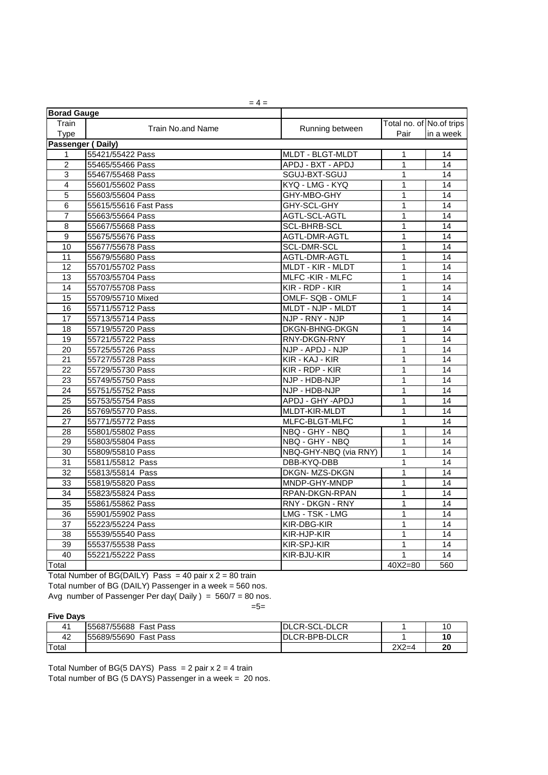|                          | $= 4 =$                  |                          |                          |                 |  |
|--------------------------|--------------------------|--------------------------|--------------------------|-----------------|--|
| <b>Borad Gauge</b>       |                          |                          |                          |                 |  |
| Train                    | <b>Train No.and Name</b> | Running between          | Total no. of No.of trips |                 |  |
| <b>Type</b>              |                          |                          | Pair                     | in a week       |  |
| <b>Passenger (Daily)</b> |                          |                          |                          |                 |  |
| $\mathbf{1}$             | 55421/55422 Pass         | <b>MLDT - BLGT-MLDT</b>  | 1                        | 14              |  |
| $\overline{2}$           | 55465/55466 Pass         | APDJ - BXT - APDJ        | 1                        | 14              |  |
| $\overline{3}$           | 55467/55468 Pass         | SGUJ-BXT-SGUJ            | 1                        | 14              |  |
| 4                        | 55601/55602 Pass         | KYQ - LMG - KYQ          | 1                        | 14              |  |
| 5                        | 55603/55604 Pass         | GHY-MBO-GHY              | 1                        | 14              |  |
| $\,6$                    | 55615/55616 Fast Pass    | GHY-SCL-GHY              | 1                        | 14              |  |
| $\overline{7}$           | 55663/55664 Pass         | AGTL-SCL-AGTL            | 1                        | 14              |  |
| 8                        | 55667/55668 Pass         | <b>SCL-BHRB-SCL</b>      | 1                        | 14              |  |
| 9                        | 55675/55676 Pass         | AGTL-DMR-AGTL            | 1                        | 14              |  |
| 10                       | 55677/55678 Pass         | <b>SCL-DMR-SCL</b>       | 1                        | 14              |  |
| 11                       | 55679/55680 Pass         | AGTL-DMR-AGTL            | 1                        | 14              |  |
| 12                       | 55701/55702 Pass         | <b>MLDT - KIR - MLDT</b> | 1                        | 14              |  |
| 13                       | 55703/55704 Pass         | <b>MLFC-KIR-MLFC</b>     | 1                        | 14              |  |
| $\overline{14}$          | 55707/55708 Pass         | KIR - RDP - KIR          | $\mathbf 1$              | $\overline{14}$ |  |
| 15                       | 55709/55710 Mixed        | OMLF-SQB - OMLF          | 1                        | 14              |  |
| 16                       | 55711/55712 Pass         | MLDT - NJP - MLDT        | 1                        | 14              |  |
| 17                       | 55713/55714 Pass         | NJP - RNY - NJP          | 1                        | 14              |  |
| 18                       | 55719/55720 Pass         | <b>DKGN-BHNG-DKGN</b>    | 1                        | 14              |  |
| 19                       | 55721/55722 Pass         | RNY-DKGN-RNY             | 1                        | 14              |  |
| 20                       | 55725/55726 Pass         | NJP - APDJ - NJP         | 1                        | 14              |  |
| $\overline{21}$          | 55727/55728 Pass         | KIR - KAJ - KIR          | 1                        | 14              |  |
| 22                       | 55729/55730 Pass         | $KIR$ - RDP - $KIR$      | 1                        | 14              |  |
| 23                       | 55749/55750 Pass         | NJP - HDB-NJP            | $\mathbf 1$              | 14              |  |
| 24                       | 55751/55752 Pass         | NJP - HDB-NJP            | 1                        | 14              |  |
| $\overline{25}$          | 55753/55754 Pass         | APDJ - GHY -APDJ         | 1                        | 14              |  |
| 26                       | 55769/55770 Pass.        | MLDT-KIR-MLDT            | 1                        | 14              |  |
| 27                       | 55771/55772 Pass         | MLFC-BLGT-MLFC           | 1                        | 14              |  |
| 28                       | 55801/55802 Pass         | NBQ - GHY - NBQ          | 1                        | 14              |  |
| 29                       | 55803/55804 Pass         | NBQ - GHY - NBQ          | 1                        | 14              |  |
| 30                       | 55809/55810 Pass         | NBQ-GHY-NBQ (via RNY)    | $\mathbf 1$              | 14              |  |
| 31                       | 55811/55812 Pass         | DBB-KYQ-DBB              | $\mathbf 1$              | $\overline{14}$ |  |
| 32                       | 55813/55814 Pass         | DKGN-MZS-DKGN            | 1                        | 14              |  |
| 33                       | 55819/55820 Pass         | MNDP-GHY-MNDP            | 1                        | 14              |  |
| 34                       | 55823/55824 Pass         | RPAN-DKGN-RPAN           | 1                        | 14              |  |
| 35                       | 55861/55862 Pass         | RNY - DKGN - RNY         | 1                        | 14              |  |
| 36                       | 55901/55902 Pass         | LMG - TSK - LMG          | 1                        | 14              |  |
| 37                       | 55223/55224 Pass         | KIR-DBG-KIR              | 1                        | 14              |  |
| 38                       | 55539/55540 Pass         | KIR-HJP-KIR              | 1                        | 14              |  |
| 39                       | 55537/55538 Pass         | KIR-SPJ-KIR              | 1                        | 14              |  |
| 40                       | 55221/55222 Pass         | KIR-BJU-KIR              | 1                        | 14              |  |
| Total                    |                          |                          | 40X2=80                  | 560             |  |

Total Number of BG(DAILY) Pass = 40 pair  $x$  2 = 80 train

Total number of BG (DAILY) Passenger in a week = 560 nos. Avg number of Passenger Per day( Daily ) =  $560/7 = 80$  nos.

## $=5=$

### **Five Days**

|       | 155687/55688<br><b>Fast Pass</b> | <b>IDLCR-SCL-DLCR</b> |                 |                |
|-------|----------------------------------|-----------------------|-----------------|----------------|
| 42    | 155689/55690<br><b>Fast Pass</b> | DLCR-BPB-DLCR         |                 |                |
| Total |                                  |                       | $2V2-$<br>_XZ=4 | 2 <sub>0</sub> |

Total Number of BG(5 DAYS) Pass = pair  $x$   $2 = 4$  train

Total number of BG  $(5$  DAYS) Passenger in a week = 20 nos.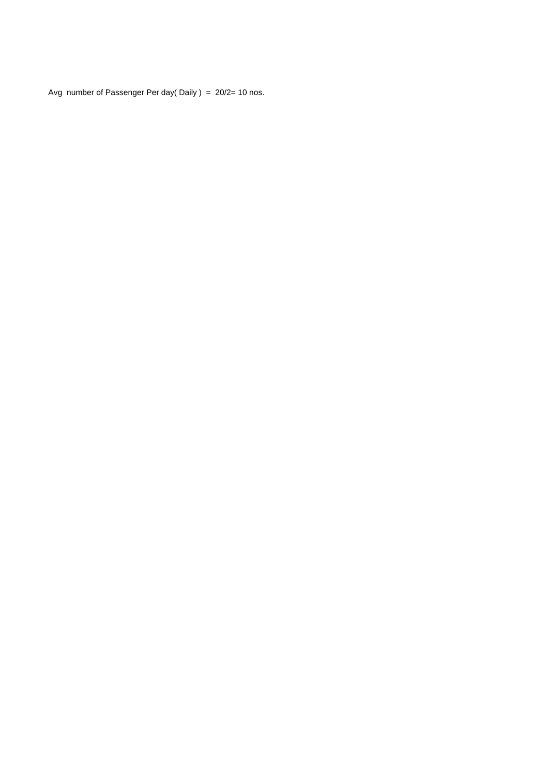Avg number of Passenger Per day( Daily ) = 20/2= 10 nos.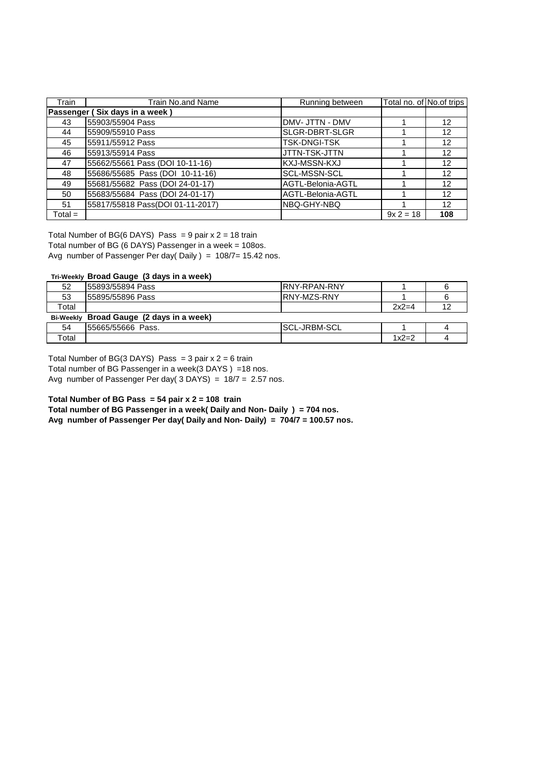| Train     | <b>Train No.and Name</b>         | Running between     | Total no. of No.of trips |     |
|-----------|----------------------------------|---------------------|--------------------------|-----|
|           | Passenger (Six days in a week)   |                     |                          |     |
| 43        | 55903/55904 Pass                 | DMV- JTTN - DMV     |                          | 12  |
| 44        | 55909/55910 Pass                 | SLGR-DBRT-SLGR      |                          | 12  |
| 45        | 55911/55912 Pass                 | <b>TSK-DNGI-TSK</b> |                          | 12  |
| 46        | 55913/55914 Pass                 | JTTN-TSK-JTTN       |                          | 12  |
| 47        | 55662/55661 Pass (DOI 10-11-16)  | KXJ-MSSN-KXJ        |                          | 12  |
| 48        | 55686/55685 Pass (DOI 10-11-16)  | <b>SCL-MSSN-SCL</b> |                          | 12  |
| 49        | 55681/55682 Pass (DOI 24-01-17)  | AGTL-Belonia-AGTL   |                          | 12  |
| 50        | 55683/55684 Pass (DOI 24-01-17)  | AGTL-Belonia-AGTL   |                          | 12  |
| 51        | 55817/55818 Pass(DOI 01-11-2017) | NBQ-GHY-NBQ         |                          | 12  |
| $Total =$ |                                  |                     | $9x 2 = 18$              | 108 |

Total number of BG (6 DAYS) Passenger in a week = 108os. Total Number of BG(6 DAYS) Pass = 9 pair  $x$  2 = 18 train

Avg number of Passenger Per day( Daily ) = 108/7= 15.42 nos.

#### **Tri-Weekly Broad Gauge (3 days in a week)**

| 52               | 55893/55894 Pass               | IRNY-RPAN-RNY       |         |  |
|------------------|--------------------------------|---------------------|---------|--|
| 53               | 155895/55896 Pass              | IRNY-MZS-RNY        |         |  |
| Total            |                                |                     | $2x2=4$ |  |
| <b>Bi-Weekly</b> | Broad Gauge (2 days in a week) |                     |         |  |
| 54               | 155665/55666 Pass.             | <b>SCL-JRBM-SCL</b> |         |  |
| Total            |                                |                     | $1x2=2$ |  |

Total Number of BG(3 DAYS) Pass =  $3$  pair  $x$   $2 = 6$  train

Total number of BG Passenger in a week(3 DAYS ) =18 nos. Avg number of Passenger Per day(  $3$  DAYS) =  $18/7$  = 2.57 nos.

**Total Number of BG Pass = 54 pair x 2 = 108 train**

**Total number of BG Passenger in a week( Daily and Non- Daily ) = 704 nos.**

**Avg number of Passenger Per day( Daily and Non- Daily) = 704/7 = 100.57 nos.**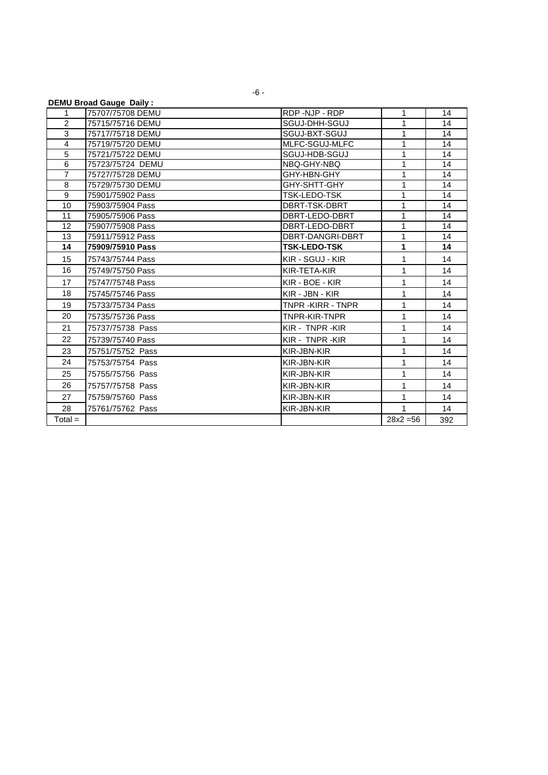|                | <b>DEMU Broad Gauge Daily:</b> |                       |                |     |
|----------------|--------------------------------|-----------------------|----------------|-----|
| 1              | 75707/75708 DEMU               | RDP-NJP-RDP           | 1              | 14  |
| $\overline{2}$ | 75715/75716 DEMU               | SGUJ-DHH-SGUJ         | $\mathbf{1}$   | 14  |
| 3              | 75717/75718 DEMU               | SGUJ-BXT-SGUJ         | 1              | 14  |
| $\overline{4}$ | 75719/75720 DEMU               | MLFC-SGUJ-MLFC        | 1              | 14  |
| $\overline{5}$ | 75721/75722 DEMU               | SGUJ-HDB-SGUJ         | 1              | 14  |
| 6              | 75723/75724 DEMU               | NBQ-GHY-NBQ           | 1              | 14  |
| $\overline{7}$ | 75727/75728 DEMU               | GHY-HBN-GHY           | 1              | 14  |
| 8              | 75729/75730 DEMU               | GHY-SHTT-GHY          | 1              | 14  |
| 9              | 75901/75902 Pass               | TSK-LEDO-TSK          | 1              | 14  |
| 10             | 75903/75904 Pass               | DBRT-TSK-DBRT         | $\overline{1}$ | 14  |
| 11             | 75905/75906 Pass               | DBRT-LEDO-DBRT        | 1              | 14  |
| 12             | 75907/75908 Pass               | DBRT-LEDO-DBRT        | 1              | 14  |
| 13             | 75911/75912 Pass               | DBRT-DANGRI-DBRT      | $\mathbf{1}$   | 14  |
| 14             | 75909/75910 Pass               | <b>TSK-LEDO-TSK</b>   | 1              | 14  |
| 15             | 75743/75744 Pass               | KIR - SGUJ - KIR      | 1              | 14  |
| 16             | 75749/75750 Pass               | KIR-TETA-KIR          | $\mathbf{1}$   | 14  |
| 17             | 75747/75748 Pass               | KIR - BOE - KIR       | 1              | 14  |
| 18             | 75745/75746 Pass               | KIR - JBN - KIR       | $\mathbf{1}$   | 14  |
| 19             | 75733/75734 Pass               | <b>TNPR-KIRR-TNPR</b> | 1              | 14  |
| 20             | 75735/75736 Pass               | <b>TNPR-KIR-TNPR</b>  | $\mathbf{1}$   | 14  |
| 21             | 75737/75738 Pass               | KIR - TNPR -KIR       | 1              | 14  |
| 22             | 75739/75740 Pass               | KIR - TNPR - KIR      | $\mathbf{1}$   | 14  |
| 23             | 75751/75752 Pass               | KIR-JBN-KIR           | 1              | 14  |
| 24             | 75753/75754 Pass               | KIR-JBN-KIR           | $\mathbf{1}$   | 14  |
| 25             | 75755/75756 Pass               | KIR-JBN-KIR           | $\mathbf{1}$   | 14  |
| 26             | 75757/75758 Pass               | KIR-JBN-KIR           | $\mathbf{1}$   | 14  |
| 27             | 75759/75760 Pass               | KIR-JBN-KIR           | $\mathbf{1}$   | 14  |
| 28             | 75761/75762 Pass               | KIR-JBN-KIR           | 1              | 14  |
| $Total =$      |                                |                       | $28x^2 = 56$   | 392 |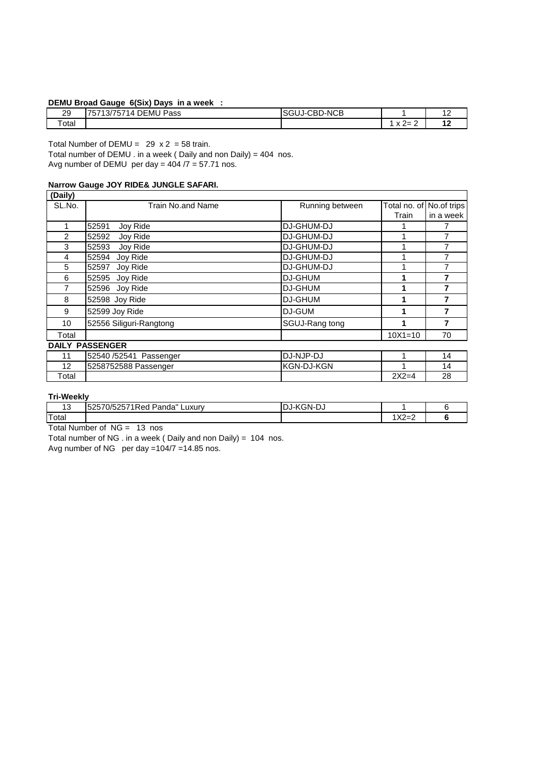### **DEMU Broad Gauge 6(Six) Days in a week :**

|                | . .                                                                  |                   |                                |     |
|----------------|----------------------------------------------------------------------|-------------------|--------------------------------|-----|
| 20<br>∠⊃<br>__ | Pass<br><b>DEMU</b><br>77770<br>---<br>4<br>.757<br>ו כ'ו<br>′ /⊂، ⊢ | D-NCB<br>:вı<br>. |                                | . . |
| Total          |                                                                      |                   | $\sqrt{ }$<br>--<br>^ ←<br>. . | . . |

Total Number of DEMU =  $29 \times 2 = 58$  train.

Total number of DEMU . in a week ( Daily and non Daily) = 404 nos.

Avg number of DEMU per day =  $404/7 = 57.71$  nos.

# **Narrow Gauge JOY RIDE& JUNGLE SAFARI.**

| (Daily) |                         |                   |              |             |
|---------|-------------------------|-------------------|--------------|-------------|
| SL.No.  | Train No.and Name       | Running between   | Total no. of | No.of trips |
|         |                         |                   | Train        | in a week   |
| 1       | 52591<br>Joy Ride       | <b>DJ-GHUM-DJ</b> |              |             |
| 2       | 52592<br>Joy Ride       | <b>DJ-GHUM-DJ</b> |              | 7           |
| 3       | Joy Ride<br>52593       | <b>DJ-GHUM-DJ</b> |              |             |
| 4       | 52594<br>Joy Ride       | <b>DJ-GHUM-DJ</b> |              |             |
| 5       | 52597<br>Joy Ride       | <b>DJ-GHUM-DJ</b> |              |             |
| 6       | 52595<br>Joy Ride       | <b>DJ-GHUM</b>    |              | 7           |
| 7       | Joy Ride<br>52596       | <b>DJ-GHUM</b>    |              | 7           |
| 8       | 52598 Joy Ride          | <b>DJ-GHUM</b>    |              | 7           |
| 9       | 52599 Joy Ride          | <b>DJ-GUM</b>     |              | 7           |
| 10      | 52556 Siliguri-Rangtong | SGUJ-Rang tong    |              | 7           |
| Total   |                         |                   | $10X1 = 10$  | 70          |
|         | <b>DAILY PASSENGER</b>  |                   |              |             |
| 11      | 52540 /52541 Passenger  | DJ-NJP-DJ         |              | 14          |
| 12      | 5258752588 Passenger    | <b>KGN-DJ-KGN</b> |              | 14          |
| Total   |                         |                   | $2X2=4$      | 28          |

# **Tri-Weekly**

| $\sim$<br>ט ו | $\mathbf{r}$<br>$-2571$ Red<br><b>EOE70</b><br>$\overline{\phantom{a}}$<br>$\Omega/F$<br>Panda"<br>∟uxur∨<br>בטי<br>. | $\cdots$<br>DJ-KGN-DJ |              |  |
|---------------|-----------------------------------------------------------------------------------------------------------------------|-----------------------|--------------|--|
| Total         |                                                                                                                       |                       | ⊧∨∩<br>∣∧∠=∠ |  |

Total Number of NG = 13 nos

Total number of NG . in a week ( Daily and non Daily) = 104 nos.

Avg number of NG per day =104/7 =14.85 nos.